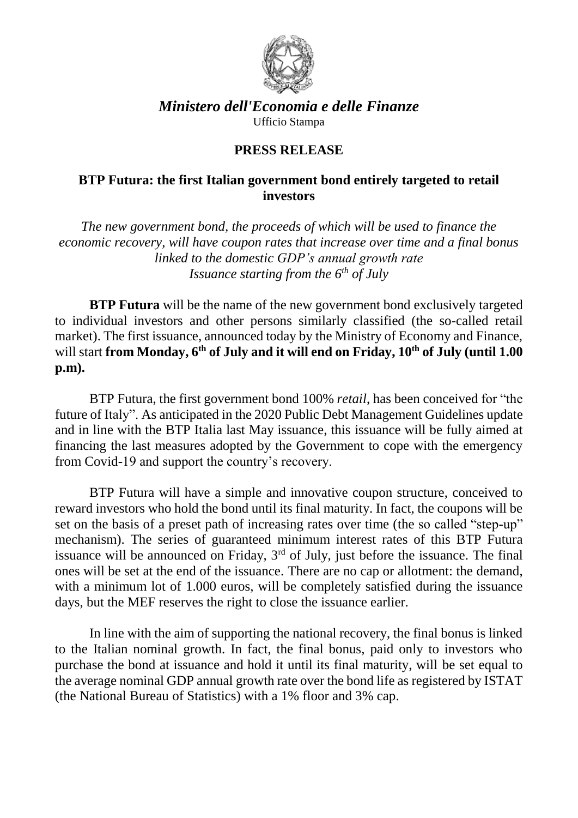

## *Ministero dell'Economia e delle Finanze* Ufficio Stampa

## **PRESS RELEASE**

## **BTP Futura: the first Italian government bond entirely targeted to retail investors**

*The new government bond, the proceeds of which will be used to finance the economic recovery, will have coupon rates that increase over time and a final bonus linked to the domestic GDP's annual growth rate Issuance starting from the 6th of July*

**BTP Futura** will be the name of the new government bond exclusively targeted to individual investors and other persons similarly classified (the so-called retail market). The first issuance, announced today by the Ministry of Economy and Finance, will start **from Monday, 6th of July and it will end on Friday, 10th of July (until 1.00 p.m).**

BTP Futura, the first government bond 100% *retail*, has been conceived for "the future of Italy". As anticipated in the 2020 Public Debt Management Guidelines update and in line with the BTP Italia last May issuance, this issuance will be fully aimed at financing the last measures adopted by the Government to cope with the emergency from Covid-19 and support the country's recovery.

BTP Futura will have a simple and innovative coupon structure, conceived to reward investors who hold the bond until its final maturity. In fact, the coupons will be set on the basis of a preset path of increasing rates over time (the so called "step-up" mechanism). The series of guaranteed minimum interest rates of this BTP Futura issuance will be announced on Friday,  $3<sup>rd</sup>$  of July, just before the issuance. The final ones will be set at the end of the issuance. There are no cap or allotment: the demand, with a minimum lot of 1.000 euros, will be completely satisfied during the issuance days, but the MEF reserves the right to close the issuance earlier.

In line with the aim of supporting the national recovery, the final bonus is linked to the Italian nominal growth. In fact, the final bonus, paid only to investors who purchase the bond at issuance and hold it until its final maturity, will be set equal to the average nominal GDP annual growth rate over the bond life as registered by ISTAT (the National Bureau of Statistics) with a 1% floor and 3% cap.